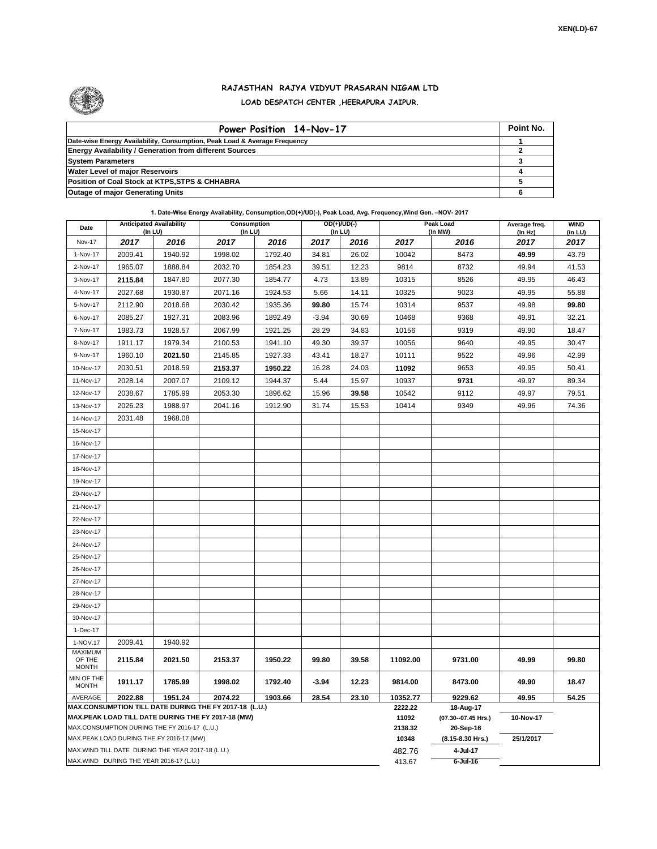

## **RAJASTHAN RAJYA VIDYUT PRASARAN NIGAM LTD LOAD DESPATCH CENTER ,HEERAPURA JAIPUR.**

| Power Position 14-Nov-17                                                  | Point No. |
|---------------------------------------------------------------------------|-----------|
| Date-wise Energy Availability, Consumption, Peak Load & Average Frequency |           |
| <b>Energy Availability / Generation from different Sources</b>            |           |
| <b>System Parameters</b>                                                  |           |
| <b>Water Level of major Reservoirs</b>                                    |           |
| Position of Coal Stock at KTPS, STPS & CHHABRA                            |           |
| <b>Outage of major Generating Units</b>                                   |           |

## **1. Date-Wise Energy Availability, Consumption,OD(+)/UD(-), Peak Load, Avg. Frequency,Wind Gen. –NOV- 2017**

| Date                       | <b>Anticipated Availability</b><br>(In LU)        |         | Consumption<br>(In LU)                                            |         | $OD(+)/UD(-)$<br>(In LU) |       |                  | Peak Load<br>(In MW)             | Average freq.<br>(In Hz) | <b>WIND</b><br>(in LU) |  |
|----------------------------|---------------------------------------------------|---------|-------------------------------------------------------------------|---------|--------------------------|-------|------------------|----------------------------------|--------------------------|------------------------|--|
| <b>Nov-17</b>              | 2017                                              | 2016    | 2017                                                              | 2016    | 2017                     | 2016  | 2017             | 2016                             | 2017                     | 2017                   |  |
| 1-Nov-17                   | 2009.41                                           | 1940.92 | 1998.02                                                           | 1792.40 | 34.81                    | 26.02 | 10042            | 8473                             | 49.99                    | 43.79                  |  |
| 2-Nov-17                   | 1965.07                                           | 1888.84 | 2032.70                                                           | 1854.23 | 39.51                    | 12.23 | 9814             | 8732                             | 49.94                    | 41.53                  |  |
| 3-Nov-17                   | 2115.84                                           | 1847.80 | 2077.30                                                           | 1854.77 | 4.73                     | 13.89 | 10315            | 8526                             | 49.95                    | 46.43                  |  |
| 4-Nov-17                   | 2027.68                                           | 1930.87 | 2071.16                                                           | 1924.53 | 5.66                     | 14.11 | 10325            | 9023                             | 49.95                    | 55.88                  |  |
| 5-Nov-17                   | 2112.90                                           | 2018.68 | 2030.42                                                           | 1935.36 | 99.80                    | 15.74 | 10314            | 9537                             | 49.98                    | 99.80                  |  |
| 6-Nov-17                   | 2085.27                                           | 1927.31 | 2083.96                                                           | 1892.49 | $-3.94$                  | 30.69 | 10468            | 9368                             | 49.91                    | 32.21                  |  |
| 7-Nov-17                   | 1983.73                                           | 1928.57 | 2067.99                                                           | 1921.25 | 28.29                    | 34.83 | 10156            | 9319                             | 49.90                    | 18.47                  |  |
| 8-Nov-17                   | 1911.17                                           | 1979.34 | 2100.53                                                           | 1941.10 | 49.30                    | 39.37 | 10056            | 9640                             | 49.95                    | 30.47                  |  |
| 9-Nov-17                   | 1960.10                                           | 2021.50 | 2145.85                                                           | 1927.33 | 43.41                    | 18.27 | 10111            | 9522                             | 49.96                    | 42.99                  |  |
| 10-Nov-17                  | 2030.51                                           | 2018.59 | 2153.37                                                           | 1950.22 | 16.28                    | 24.03 | 11092            | 9653                             | 49.95                    | 50.41                  |  |
| 11-Nov-17                  | 2028.14                                           | 2007.07 | 2109.12                                                           | 1944.37 | 5.44                     | 15.97 | 10937            | 9731                             | 49.97                    | 89.34                  |  |
| 12-Nov-17                  | 2038.67                                           | 1785.99 | 2053.30                                                           | 1896.62 | 15.96                    | 39.58 | 10542            | 9112                             | 49.97                    | 79.51                  |  |
| 13-Nov-17                  | 2026.23                                           | 1988.97 | 2041.16                                                           | 1912.90 | 31.74                    | 15.53 | 10414            | 9349                             | 49.96                    | 74.36                  |  |
| 14-Nov-17                  | 2031.48                                           | 1968.08 |                                                                   |         |                          |       |                  |                                  |                          |                        |  |
| 15-Nov-17                  |                                                   |         |                                                                   |         |                          |       |                  |                                  |                          |                        |  |
| 16-Nov-17                  |                                                   |         |                                                                   |         |                          |       |                  |                                  |                          |                        |  |
| 17-Nov-17                  |                                                   |         |                                                                   |         |                          |       |                  |                                  |                          |                        |  |
| 18-Nov-17                  |                                                   |         |                                                                   |         |                          |       |                  |                                  |                          |                        |  |
| 19-Nov-17                  |                                                   |         |                                                                   |         |                          |       |                  |                                  |                          |                        |  |
| 20-Nov-17                  |                                                   |         |                                                                   |         |                          |       |                  |                                  |                          |                        |  |
| 21-Nov-17                  |                                                   |         |                                                                   |         |                          |       |                  |                                  |                          |                        |  |
| 22-Nov-17                  |                                                   |         |                                                                   |         |                          |       |                  |                                  |                          |                        |  |
| 23-Nov-17                  |                                                   |         |                                                                   |         |                          |       |                  |                                  |                          |                        |  |
| 24-Nov-17                  |                                                   |         |                                                                   |         |                          |       |                  |                                  |                          |                        |  |
| 25-Nov-17                  |                                                   |         |                                                                   |         |                          |       |                  |                                  |                          |                        |  |
| 26-Nov-17                  |                                                   |         |                                                                   |         |                          |       |                  |                                  |                          |                        |  |
| 27-Nov-17                  |                                                   |         |                                                                   |         |                          |       |                  |                                  |                          |                        |  |
| 28-Nov-17                  |                                                   |         |                                                                   |         |                          |       |                  |                                  |                          |                        |  |
| 29-Nov-17                  |                                                   |         |                                                                   |         |                          |       |                  |                                  |                          |                        |  |
| 30-Nov-17                  |                                                   |         |                                                                   |         |                          |       |                  |                                  |                          |                        |  |
| 1-Dec-17                   |                                                   |         |                                                                   |         |                          |       |                  |                                  |                          |                        |  |
| 1-NOV.17<br><b>MAXIMUM</b> | 2009.41                                           | 1940.92 |                                                                   |         |                          |       |                  |                                  |                          |                        |  |
| OF THE<br><b>MONTH</b>     | 2115.84                                           | 2021.50 | 2153.37                                                           | 1950.22 | 99.80                    | 39.58 | 11092.00         | 9731.00                          | 49.99                    | 99.80                  |  |
| MIN OF THE<br><b>MONTH</b> | 1911.17                                           | 1785.99 | 1998.02                                                           | 1792.40 | $-3.94$                  | 12.23 | 9814.00          | 8473.00                          | 49.90                    | 18.47                  |  |
| AVERAGE                    | 2022.88                                           | 1951.24 | 2074.22<br>MAX.CONSUMPTION TILL DATE DURING THE FY 2017-18 (L.U.) | 1903.66 | 28.54                    | 23.10 | 10352.77         | 9229.62                          | 49.95                    | 54.25                  |  |
|                            |                                                   |         | MAX.PEAK LOAD TILL DATE DURING THE FY 2017-18 (MW)                |         |                          |       | 2222.22<br>11092 | 18-Aug-17<br>(07.30--07.45 Hrs.) | 10-Nov-17                |                        |  |
|                            | MAX.CONSUMPTION DURING THE FY 2016-17 (L.U.)      |         |                                                                   |         |                          |       | 2138.32          | 20-Sep-16                        |                          |                        |  |
|                            | MAX.PEAK LOAD DURING THE FY 2016-17 (MW)          |         |                                                                   |         |                          |       | 10348            | (8.15-8.30 Hrs.)                 | 25/1/2017                |                        |  |
|                            | MAX.WIND TILL DATE DURING THE YEAR 2017-18 (L.U.) |         |                                                                   |         |                          |       | 482.76           | 4-Jul-17                         |                          |                        |  |
|                            | MAX.WIND DURING THE YEAR 2016-17 (L.U.)           |         |                                                                   |         |                          |       | 413.67           | $6$ -Jul-16                      |                          |                        |  |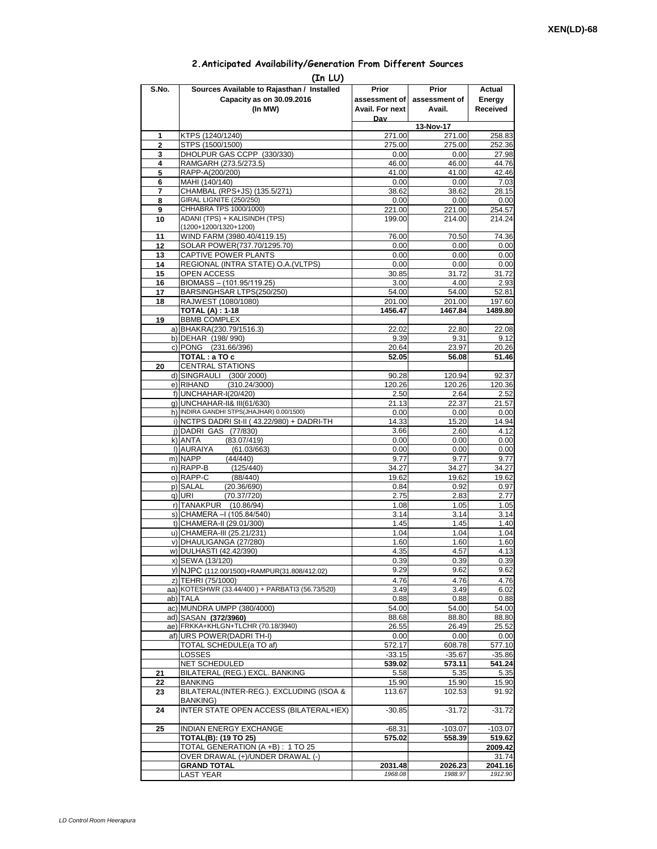## **2.Anticipated Availability/Generation From Different Sources**

|                | (In LU)                                                                                  |                    |                    |                    |
|----------------|------------------------------------------------------------------------------------------|--------------------|--------------------|--------------------|
| S.No.          | Sources Available to Rajasthan / Installed                                               | Prior              | Prior              | Actual             |
|                | Capacity as on 30.09.2016                                                                | assessment of I    | assessment of      | Energy             |
|                | (In MW)                                                                                  | Avail. For next    | Avail.             | Received           |
|                |                                                                                          | Dav                | 13-Nov-17          |                    |
| 1              | KTPS (1240/1240)                                                                         | 271.00             | 271.00             | 258.83             |
| $\overline{2}$ | STPS (1500/1500)                                                                         | 275.00             | 275.00             | 252.36             |
| 3              | DHOLPUR GAS CCPP (330/330)                                                               | 0.00               | 0.00               | 27.98              |
| 4<br>5         | RAMGARH (273.5/273.5)<br>RAPP-A(200/200)                                                 | 46.00<br>41.00     | 46.00<br>41.00     | 44.76<br>42.46     |
| 6              | MAHI (140/140)                                                                           | 0.00               | 0.00               | 7.03               |
| 7              | CHAMBAL (RPS+JS) (135.5/271)                                                             | 38.62              | 38.62              | 28.15              |
| 8              | GIRAL LIGNITE (250/250)<br>CHHABRA TPS 1000/1000)                                        | 0.00               | 0.00               | 0.00               |
| 9<br>10        | ADANI (TPS) + KALISINDH (TPS)                                                            | 221.00<br>199.00   | 221.00<br>214.00   | 254.57<br>214.24   |
|                | (1200+1200/1320+1200)                                                                    |                    |                    |                    |
| 11             | WIND FARM (3980.40/4119.15)                                                              | 76.00              | 70.50              | 74.36              |
| 12             | SOLAR POWER(737.70/1295.70)                                                              | 0.00               | 0.00               | 0.00               |
| 13<br>14       | CAPTIVE POWER PLANTS<br>REGIONAL (INTRA STATE) O.A. (VLTPS)                              | 0.00<br>0.00       | 0.00<br>0.00       | 0.00<br>0.00       |
| 15             | <b>OPEN ACCESS</b>                                                                       | 30.85              | 31.72              | 31.72              |
| 16             | BIOMASS - (101.95/119.25)                                                                | 3.00               | 4.00               | 2.93               |
| 17             | BARSINGHSAR LTPS(250/250)                                                                | 54.00              | 54.00              | 52.81              |
| 18             | RAJWEST (1080/1080)                                                                      | 201.00             | 201.00             | 197.60             |
| 19             | <b>TOTAL (A): 1-18</b><br><b>BBMB COMPLEX</b>                                            | 1456.47            | 1467.84            | 1489.80            |
|                | a) BHAKRA(230.79/1516.3)                                                                 | 22.02              | 22.80              | 22.08              |
|                | b) DEHAR (198/990)                                                                       | 9.39               | 9.31               | 9.12               |
|                | c) PONG (231.66/396)                                                                     | 20.64              | 23.97              | 20.26              |
|                | TOTAL: a TO c                                                                            | 52.05              | 56.08              | 51.46              |
| 20             | <b>CENTRAL STATIONS</b><br>d) SINGRAULI (300/2000)                                       | 90.28              | 120.94             | 92.37              |
|                | e) RIHAND<br>(310.24/3000)                                                               | 120.26             | 120.26             | 120.36             |
|                | f) UNCHAHAR-I(20/420)                                                                    | 2.50               | 2.64               | 2.52               |
|                | g) UNCHAHAR-II& III(61/630)                                                              | 21.13              | 22.37              | 21.57              |
|                | h) INDIRA GANDHI STPS(JHAJHAR) 0.00/1500)<br>i) NCTPS DADRI St-II (43.22/980) + DADRI-TH | 0.00               | 0.00               | 0.00               |
|                | j) DADRI GAS (77/830)                                                                    | 14.33<br>3.66      | 15.20<br>2.60      | 14.94<br>4.12      |
|                | (83.07/419)<br>k) ANTA                                                                   | 0.00               | 0.00               | 0.00               |
|                | I) AURAIYA<br>(61.03/663)                                                                | 0.00               | 0.00               | 0.00               |
|                | m) NAPP<br>(44/440)                                                                      | 9.77               | 9.77               | 9.77               |
|                | n) RAPP-B<br>(125/440)<br>o) RAPP-C                                                      | 34.27<br>19.62     | 34.27<br>19.62     | 34.27              |
|                | (88/440)<br>p) SALAL<br>(20.36/690)                                                      | 0.84               | 0.92               | 19.62<br>0.97      |
|                | q) URI<br>(70.37/720)                                                                    | 2.75               | 2.83               | 2.77               |
|                | r) TANAKPUR (10.86/94)                                                                   | 1.08               | 1.05               | 1.05               |
|                | s) CHAMERA - (105.84/540)                                                                | 3.14               | 3.14               | 3.14               |
|                | t) CHAMERA-II (29.01/300)                                                                | 1.45<br>1.04       | 1.45               | 1.40<br>1.04       |
|                | u) CHAMERA-III (25.21/231)<br>v) DHAULIGANGA (27/280)                                    | 1.60               | 1.04<br>1.60       | 1.60               |
|                | w) DULHASTI (42.42/390)                                                                  | 4.35               | 4.57               | 4.13               |
|                | x) SEWA (13/120)                                                                         | 0.39               | 0.39               | 0.39               |
|                | y) NJPC (112.00/1500)+RAMPUR(31.808/412.02)                                              | 9.29               | 9.62               | 9.62               |
|                | z) TEHRI (75/1000)                                                                       | 4.76               | 4.76               | 4.76               |
|                | aa) KOTESHWR (33.44/400) + PARBATI3 (56.73/520)<br>ab) TALA                              | 3.49<br>0.88       | 3.49<br>0.88       | 6.02<br>0.88       |
|                | ac) MUNDRA UMPP (380/4000)                                                               | 54.00              | 54.00              | 54.00              |
|                | ad) SASAN (372/3960)                                                                     | 88.68              | 88.80              | 88.80              |
|                | ae) FRKKA+KHLGN+TLCHR (70.18/3940)                                                       | 26.55              | 26.49              | 25.52              |
|                | af) URS POWER(DADRITH-I)                                                                 | 0.00               | 0.00               | 0.00               |
|                | TOTAL SCHEDULE(a TO af)<br>LOSSES                                                        | 572.17<br>$-33.15$ | 608.78<br>$-35.67$ | 577.10<br>$-35.86$ |
|                | NET SCHEDULED                                                                            | 539.02             | 573.11             | 541.24             |
| 21             | BILATERAL (REG.) EXCL. BANKING                                                           | 5.58               | 5.35               | 5.35               |
| 22             | BANKING                                                                                  | 15.90              | 15.90              | 15.90              |
| 23             | BILATERAL(INTER-REG.). EXCLUDING (ISOA &                                                 | 113.67             | 102.53             | 91.92              |
| 24             | BANKING)<br>INTER STATE OPEN ACCESS (BILATERAL+IEX)                                      | $-30.85$           | $-31.72$           | $-31.72$           |
|                |                                                                                          |                    |                    |                    |
| 25             | <b>INDIAN ENERGY EXCHANGE</b>                                                            | $-68.31$           | $-103.07$          | $-103.07$          |
|                | <b>TOTAL(B): (19 TO 25)</b><br>TOTAL GENERATION (A +B) : 1 TO 25                         | 575.02             | 558.39             | 519.62<br>2009.42  |
|                | OVER DRAWAL (+)/UNDER DRAWAL (-)                                                         |                    |                    | 31.74              |
|                | <b>GRAND TOTAL</b>                                                                       | 2031.48            | 2026.23            | 2041.16            |
|                | LAST YEAR                                                                                | 1968.08            | 1988.97            | 1912.90            |